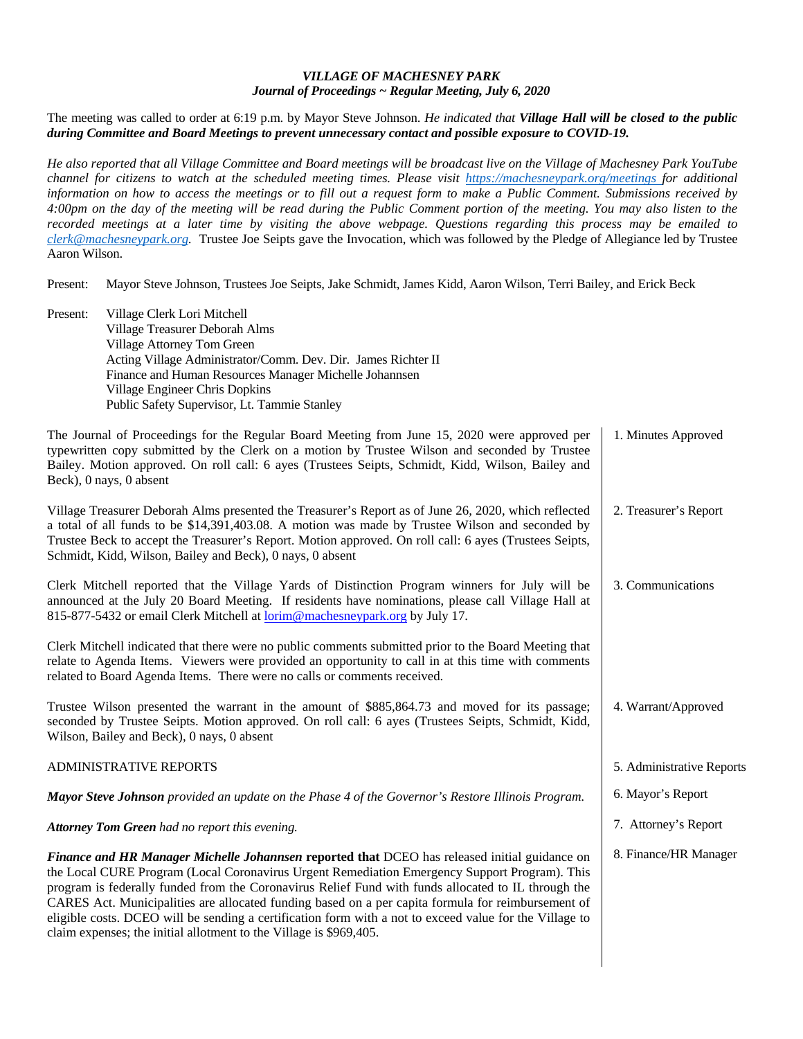## *VILLAGE OF MACHESNEY PARK Journal of Proceedings ~ Regular Meeting, July 6, 2020*

The meeting was called to order at 6:19 p.m. by Mayor Steve Johnson. *He indicated that Village Hall will be closed to the public during Committee and Board Meetings to prevent unnecessary contact and possible exposure to COVID-19.* 

*He also reported that all Village Committee and Board meetings will be broadcast live on the Village of Machesney Park YouTube channel for citizens to watch at the scheduled meeting times. Please visit https://machesneypark.org/meetings for additional information on how to access the meetings or to fill out a request form to make a Public Comment. Submissions received by 4:00pm on the day of the meeting will be read during the Public Comment portion of the meeting. You may also listen to the recorded meetings at a later time by visiting the above webpage. Questions regarding this process may be emailed to clerk@machesneypark.org.* Trustee Joe Seipts gave the Invocation, which was followed by the Pledge of Allegiance led by Trustee Aaron Wilson.

Present: Mayor Steve Johnson, Trustees Joe Seipts, Jake Schmidt, James Kidd, Aaron Wilson, Terri Bailey, and Erick Beck

Present: Village Clerk Lori Mitchell Village Treasurer Deborah Alms Village Attorney Tom Green Acting Village Administrator/Comm. Dev. Dir. James Richter II Finance and Human Resources Manager Michelle Johannsen Village Engineer Chris Dopkins Public Safety Supervisor, Lt. Tammie Stanley

The Journal of Proceedings for the Regular Board Meeting from June 15, 2020 were approved per typewritten copy submitted by the Clerk on a motion by Trustee Wilson and seconded by Trustee Bailey. Motion approved. On roll call: 6 ayes (Trustees Seipts, Schmidt, Kidd, Wilson, Bailey and Beck), 0 nays, 0 absent 1. Minutes Approved

Village Treasurer Deborah Alms presented the Treasurer's Report as of June 26, 2020, which reflected a total of all funds to be \$14,391,403.08. A motion was made by Trustee Wilson and seconded by Trustee Beck to accept the Treasurer's Report. Motion approved. On roll call: 6 ayes (Trustees Seipts, Schmidt, Kidd, Wilson, Bailey and Beck), 0 nays, 0 absent 2. Treasurer's Report

5. Administrative Reports

6. Mayor's Report

7. Attorney's Report

8. Finance/HR Manager

Clerk Mitchell reported that the Village Yards of Distinction Program winners for July will be announced at the July 20 Board Meeting. If residents have nominations, please call Village Hall at 815-877-5432 or email Clerk Mitchell at lorim@machesneypark.org by July 17. 3. Communications

Clerk Mitchell indicated that there were no public comments submitted prior to the Board Meeting that relate to Agenda Items. Viewers were provided an opportunity to call in at this time with comments related to Board Agenda Items. There were no calls or comments received.

Trustee Wilson presented the warrant in the amount of \$885,864.73 and moved for its passage; seconded by Trustee Seipts. Motion approved. On roll call: 6 ayes (Trustees Seipts, Schmidt, Kidd, Wilson, Bailey and Beck), 0 nays, 0 absent 4. Warrant/Approved

## ADMINISTRATIVE REPORTS

*Mayor Steve Johnson provided an update on the Phase 4 of the Governor's Restore Illinois Program.* 

*Attorney Tom Green had no report this evening.* 

*Finance and HR Manager Michelle Johannsen* **reported that** DCEO has released initial guidance on the Local CURE Program (Local Coronavirus Urgent Remediation Emergency Support Program). This program is federally funded from the Coronavirus Relief Fund with funds allocated to IL through the CARES Act. Municipalities are allocated funding based on a per capita formula for reimbursement of eligible costs. DCEO will be sending a certification form with a not to exceed value for the Village to claim expenses; the initial allotment to the Village is \$969,405.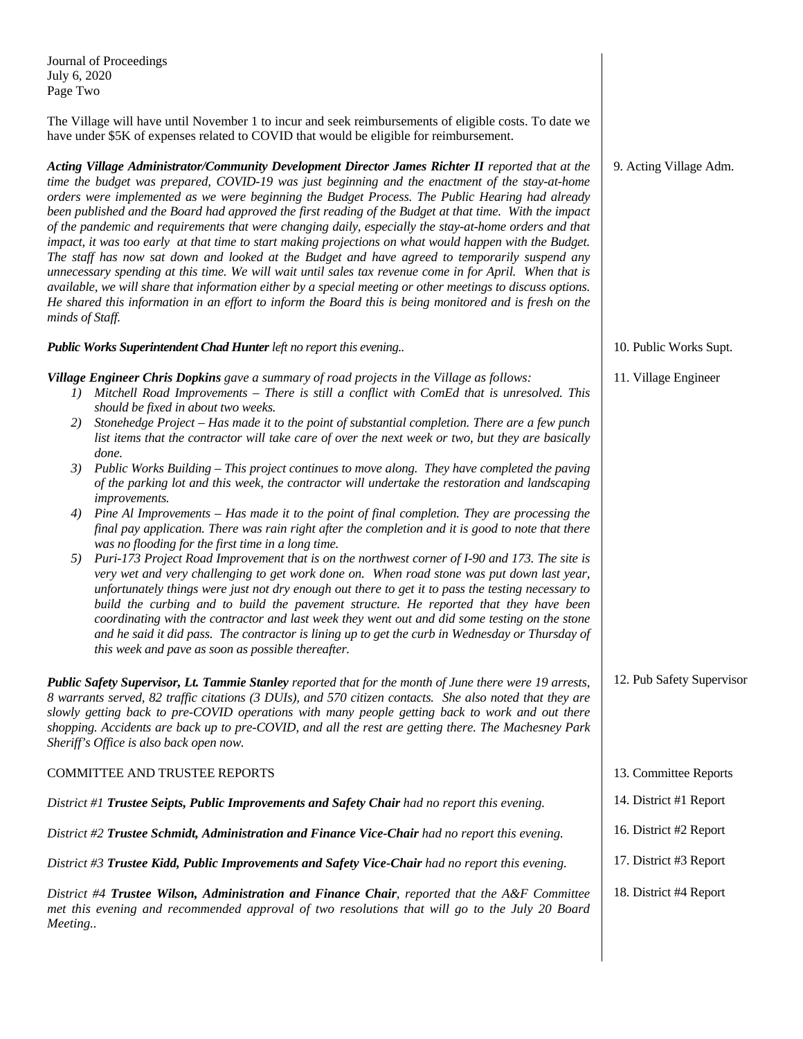Journal of Proceedings July 6, 2020 Page Two

The Village will have until November 1 to incur and seek reimbursements of eligible costs. To date we have under \$5K of expenses related to COVID that would be eligible for reimbursement.

*Acting Village Administrator/Community Development Director James Richter II reported that at the time the budget was prepared, COVID-19 was just beginning and the enactment of the stay-at-home orders were implemented as we were beginning the Budget Process. The Public Hearing had already been published and the Board had approved the first reading of the Budget at that time. With the impact of the pandemic and requirements that were changing daily, especially the stay-at-home orders and that impact, it was too early at that time to start making projections on what would happen with the Budget. The staff has now sat down and looked at the Budget and have agreed to temporarily suspend any unnecessary spending at this time. We will wait until sales tax revenue come in for April. When that is available, we will share that information either by a special meeting or other meetings to discuss options. He shared this information in an effort to inform the Board this is being monitored and is fresh on the minds of Staff.* 

*Public Works Superintendent Chad Hunter left no report this evening..*

*Village Engineer Chris Dopkins gave a summary of road projects in the Village as follows:* 

- *1) Mitchell Road Improvements There is still a conflict with ComEd that is unresolved. This should be fixed in about two weeks.*
- *2) Stonehedge Project Has made it to the point of substantial completion. There are a few punch list items that the contractor will take care of over the next week or two, but they are basically done.*
- *3) Public Works Building This project continues to move along. They have completed the paving of the parking lot and this week, the contractor will undertake the restoration and landscaping improvements.*
- *4) Pine Al Improvements Has made it to the point of final completion. They are processing the final pay application. There was rain right after the completion and it is good to note that there was no flooding for the first time in a long time.*
- *5) Puri-173 Project Road Improvement that is on the northwest corner of I-90 and 173. The site is very wet and very challenging to get work done on. When road stone was put down last year, unfortunately things were just not dry enough out there to get it to pass the testing necessary to build the curbing and to build the pavement structure. He reported that they have been coordinating with the contractor and last week they went out and did some testing on the stone and he said it did pass. The contractor is lining up to get the curb in Wednesday or Thursday of this week and pave as soon as possible thereafter.*

*Public Safety Supervisor, Lt. Tammie Stanley reported that for the month of June there were 19 arrests, 8 warrants served, 82 traffic citations (3 DUIs), and 570 citizen contacts. She also noted that they are slowly getting back to pre-COVID operations with many people getting back to work and out there shopping. Accidents are back up to pre-COVID, and all the rest are getting there. The Machesney Park Sheriff's Office is also back open now.*  COMMITTEE AND TRUSTEE REPORTS 13. Committee Reports

| District #1 Trustee Seipts, Public Improvements and Safety Chair had no report this evening.      | 14. District #1 Report |
|---------------------------------------------------------------------------------------------------|------------------------|
| District $\#2$ Trustee Schmidt, Administration and Finance Vice-Chair had no report this evening. | 16. District #2 Report |
| District #3 Trustee Kidd, Public Improvements and Safety Vice-Chair had no report this evening.   | 17. District #3 Report |
| District #4 Trustee Wilson, Administration and Finance Chair, reported that the A&F Committee     | 18. District #4 Report |

*District #4 Trustee Wilson, Administration and Finance Chair, reported that the A&F Committee met this evening and recommended approval of two resolutions that will go to the July 20 Board Meeting..* 

10. Public Works Supt.

11. Village Engineer

12. Pub Safety Supervisor

| 9. Acting Village Adm. |  |
|------------------------|--|
|                        |  |
|                        |  |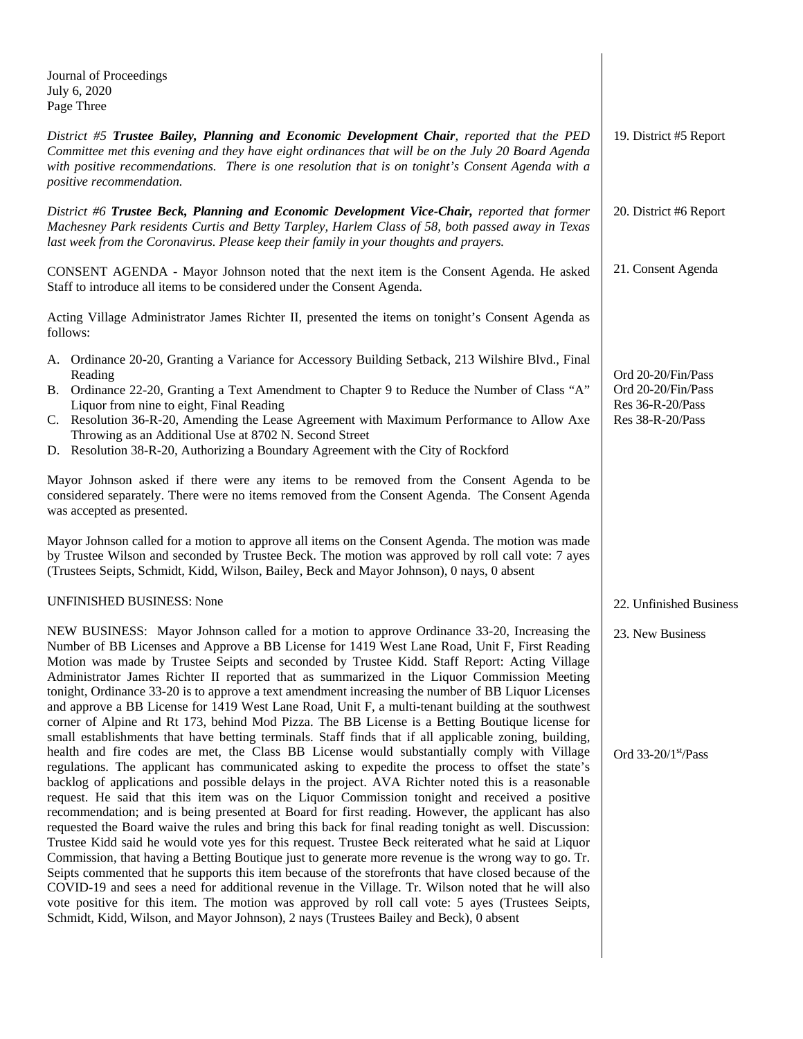| Journal of Proceedings<br>July 6, 2020<br>Page Three                                                                                                                                                                                                                                                                                                                                                                                                                                                                                                                                                                                                                                                                                                                                                                                                                                                                                                                                                                                                  |                                                              |
|-------------------------------------------------------------------------------------------------------------------------------------------------------------------------------------------------------------------------------------------------------------------------------------------------------------------------------------------------------------------------------------------------------------------------------------------------------------------------------------------------------------------------------------------------------------------------------------------------------------------------------------------------------------------------------------------------------------------------------------------------------------------------------------------------------------------------------------------------------------------------------------------------------------------------------------------------------------------------------------------------------------------------------------------------------|--------------------------------------------------------------|
| District #5 Trustee Bailey, Planning and Economic Development Chair, reported that the PED<br>Committee met this evening and they have eight ordinances that will be on the July 20 Board Agenda<br>with positive recommendations. There is one resolution that is on tonight's Consent Agenda with a<br>positive recommendation.                                                                                                                                                                                                                                                                                                                                                                                                                                                                                                                                                                                                                                                                                                                     | 19. District #5 Report                                       |
| District #6 Trustee Beck, Planning and Economic Development Vice-Chair, reported that former<br>Machesney Park residents Curtis and Betty Tarpley, Harlem Class of 58, both passed away in Texas<br>last week from the Coronavirus. Please keep their family in your thoughts and prayers.                                                                                                                                                                                                                                                                                                                                                                                                                                                                                                                                                                                                                                                                                                                                                            | 20. District #6 Report                                       |
| CONSENT AGENDA - Mayor Johnson noted that the next item is the Consent Agenda. He asked<br>Staff to introduce all items to be considered under the Consent Agenda.                                                                                                                                                                                                                                                                                                                                                                                                                                                                                                                                                                                                                                                                                                                                                                                                                                                                                    | 21. Consent Agenda                                           |
| Acting Village Administrator James Richter II, presented the items on tonight's Consent Agenda as<br>follows:                                                                                                                                                                                                                                                                                                                                                                                                                                                                                                                                                                                                                                                                                                                                                                                                                                                                                                                                         |                                                              |
| A. Ordinance 20-20, Granting a Variance for Accessory Building Setback, 213 Wilshire Blvd., Final                                                                                                                                                                                                                                                                                                                                                                                                                                                                                                                                                                                                                                                                                                                                                                                                                                                                                                                                                     |                                                              |
| Reading<br>B. Ordinance 22-20, Granting a Text Amendment to Chapter 9 to Reduce the Number of Class "A"<br>Liquor from nine to eight, Final Reading                                                                                                                                                                                                                                                                                                                                                                                                                                                                                                                                                                                                                                                                                                                                                                                                                                                                                                   | Ord 20-20/Fin/Pass<br>Ord 20-20/Fin/Pass<br>Res 36-R-20/Pass |
| C. Resolution 36-R-20, Amending the Lease Agreement with Maximum Performance to Allow Axe<br>Throwing as an Additional Use at 8702 N. Second Street<br>D. Resolution 38-R-20, Authorizing a Boundary Agreement with the City of Rockford                                                                                                                                                                                                                                                                                                                                                                                                                                                                                                                                                                                                                                                                                                                                                                                                              | Res 38-R-20/Pass                                             |
| Mayor Johnson asked if there were any items to be removed from the Consent Agenda to be<br>considered separately. There were no items removed from the Consent Agenda. The Consent Agenda<br>was accepted as presented.                                                                                                                                                                                                                                                                                                                                                                                                                                                                                                                                                                                                                                                                                                                                                                                                                               |                                                              |
| Mayor Johnson called for a motion to approve all items on the Consent Agenda. The motion was made<br>by Trustee Wilson and seconded by Trustee Beck. The motion was approved by roll call vote: 7 ayes<br>(Trustees Seipts, Schmidt, Kidd, Wilson, Bailey, Beck and Mayor Johnson), 0 nays, 0 absent                                                                                                                                                                                                                                                                                                                                                                                                                                                                                                                                                                                                                                                                                                                                                  |                                                              |
| <b>UNFINISHED BUSINESS: None</b>                                                                                                                                                                                                                                                                                                                                                                                                                                                                                                                                                                                                                                                                                                                                                                                                                                                                                                                                                                                                                      | 22. Unfinished Business                                      |
| NEW BUSINESS: Mayor Johnson called for a motion to approve Ordinance 33-20, Increasing the<br>Number of BB Licenses and Approve a BB License for 1419 West Lane Road, Unit F, First Reading<br>Motion was made by Trustee Seipts and seconded by Trustee Kidd. Staff Report: Acting Village<br>Administrator James Richter II reported that as summarized in the Liquor Commission Meeting<br>tonight, Ordinance 33-20 is to approve a text amendment increasing the number of BB Liquor Licenses<br>and approve a BB License for 1419 West Lane Road, Unit F, a multi-tenant building at the southwest<br>corner of Alpine and Rt 173, behind Mod Pizza. The BB License is a Betting Boutique license for<br>small establishments that have betting terminals. Staff finds that if all applicable zoning, building,                                                                                                                                                                                                                                  | 23. New Business                                             |
| health and fire codes are met, the Class BB License would substantially comply with Village<br>regulations. The applicant has communicated asking to expedite the process to offset the state's<br>backlog of applications and possible delays in the project. AVA Richter noted this is a reasonable<br>request. He said that this item was on the Liquor Commission tonight and received a positive<br>recommendation; and is being presented at Board for first reading. However, the applicant has also<br>requested the Board waive the rules and bring this back for final reading tonight as well. Discussion:<br>Trustee Kidd said he would vote yes for this request. Trustee Beck reiterated what he said at Liquor<br>Commission, that having a Betting Boutique just to generate more revenue is the wrong way to go. Tr.<br>Seipts commented that he supports this item because of the storefronts that have closed because of the<br>COVID-19 and sees a need for additional revenue in the Village. Tr. Wilson noted that he will also | Ord $33-20/1$ <sup>st</sup> /Pass                            |
| vote positive for this item. The motion was approved by roll call vote: 5 ayes (Trustees Seipts,                                                                                                                                                                                                                                                                                                                                                                                                                                                                                                                                                                                                                                                                                                                                                                                                                                                                                                                                                      |                                                              |

Schmidt, Kidd, Wilson, and Mayor Johnson), 2 nays (Trustees Bailey and Beck), 0 absent